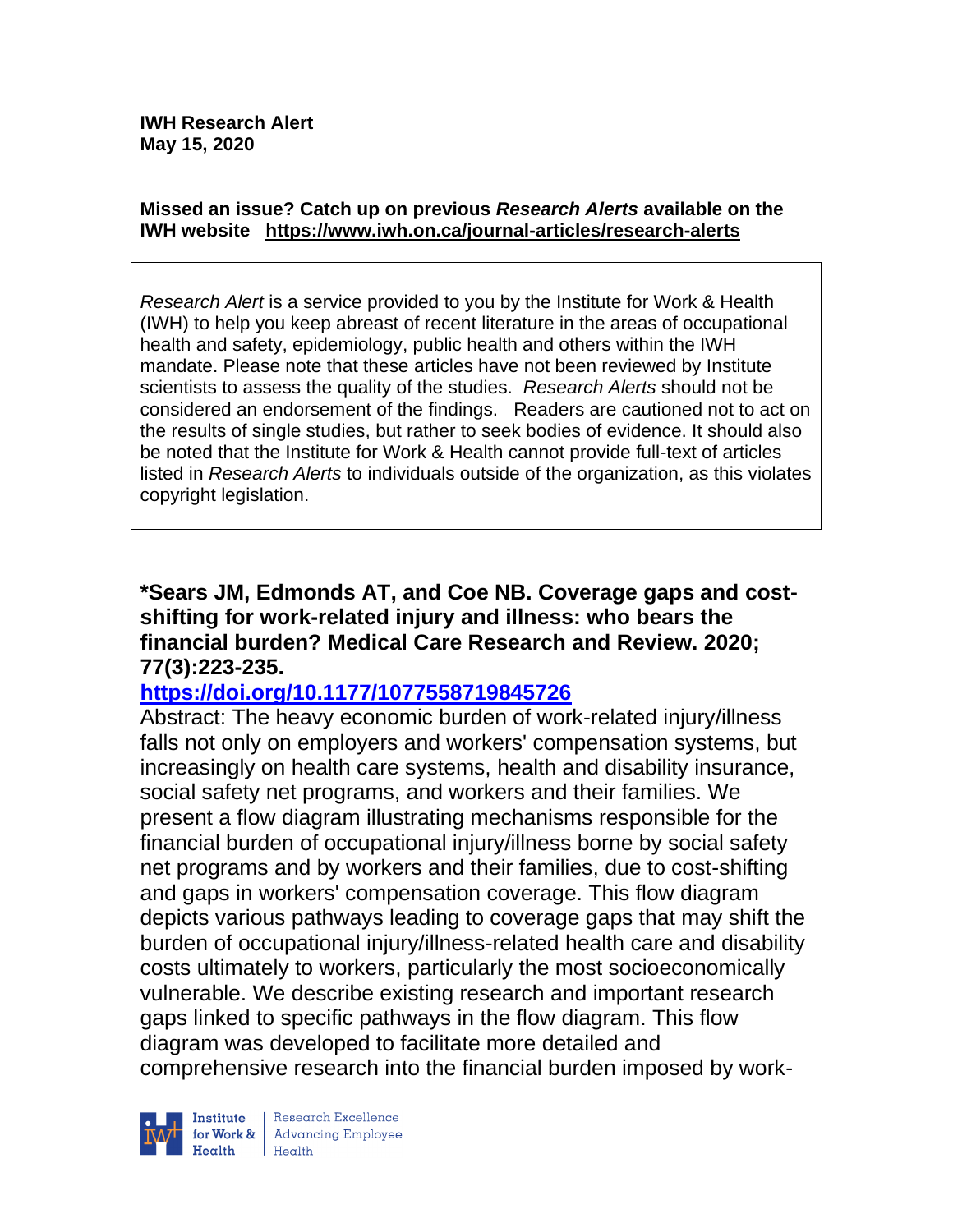#### **Missed an issue? Catch up on previous** *Research Alerts* **available on the [IWH website](http://www.iwh.on.ca/research-alerts) <https://www.iwh.on.ca/journal-articles/research-alerts>**

*Research Alert* is a service provided to you by the Institute for Work & Health (IWH) to help you keep abreast of recent literature in the areas of occupational health and safety, epidemiology, public health and others within the IWH mandate. Please note that these articles have not been reviewed by Institute scientists to assess the quality of the studies. *Research Alerts* should not be considered an endorsement of the findings. Readers are cautioned not to act on the results of single studies, but rather to seek bodies of evidence. It should also be noted that the Institute for Work & Health cannot provide full-text of articles listed in *Research Alerts* to individuals outside of the organization, as this violates copyright legislation.

**\*Sears JM, Edmonds AT, and Coe NB. Coverage gaps and costshifting for work-related injury and illness: who bears the financial burden? Medical Care Research and Review. 2020; 77(3):223-235.** 

#### **<https://doi.org/10.1177/1077558719845726>**

Abstract: The heavy economic burden of work-related injury/illness falls not only on employers and workers' compensation systems, but increasingly on health care systems, health and disability insurance, social safety net programs, and workers and their families. We present a flow diagram illustrating mechanisms responsible for the financial burden of occupational injury/illness borne by social safety net programs and by workers and their families, due to cost-shifting and gaps in workers' compensation coverage. This flow diagram depicts various pathways leading to coverage gaps that may shift the burden of occupational injury/illness-related health care and disability costs ultimately to workers, particularly the most socioeconomically vulnerable. We describe existing research and important research gaps linked to specific pathways in the flow diagram. This flow diagram was developed to facilitate more detailed and comprehensive research into the financial burden imposed by work-



Research Excellence for Work & Advancing Employee<br>Health Health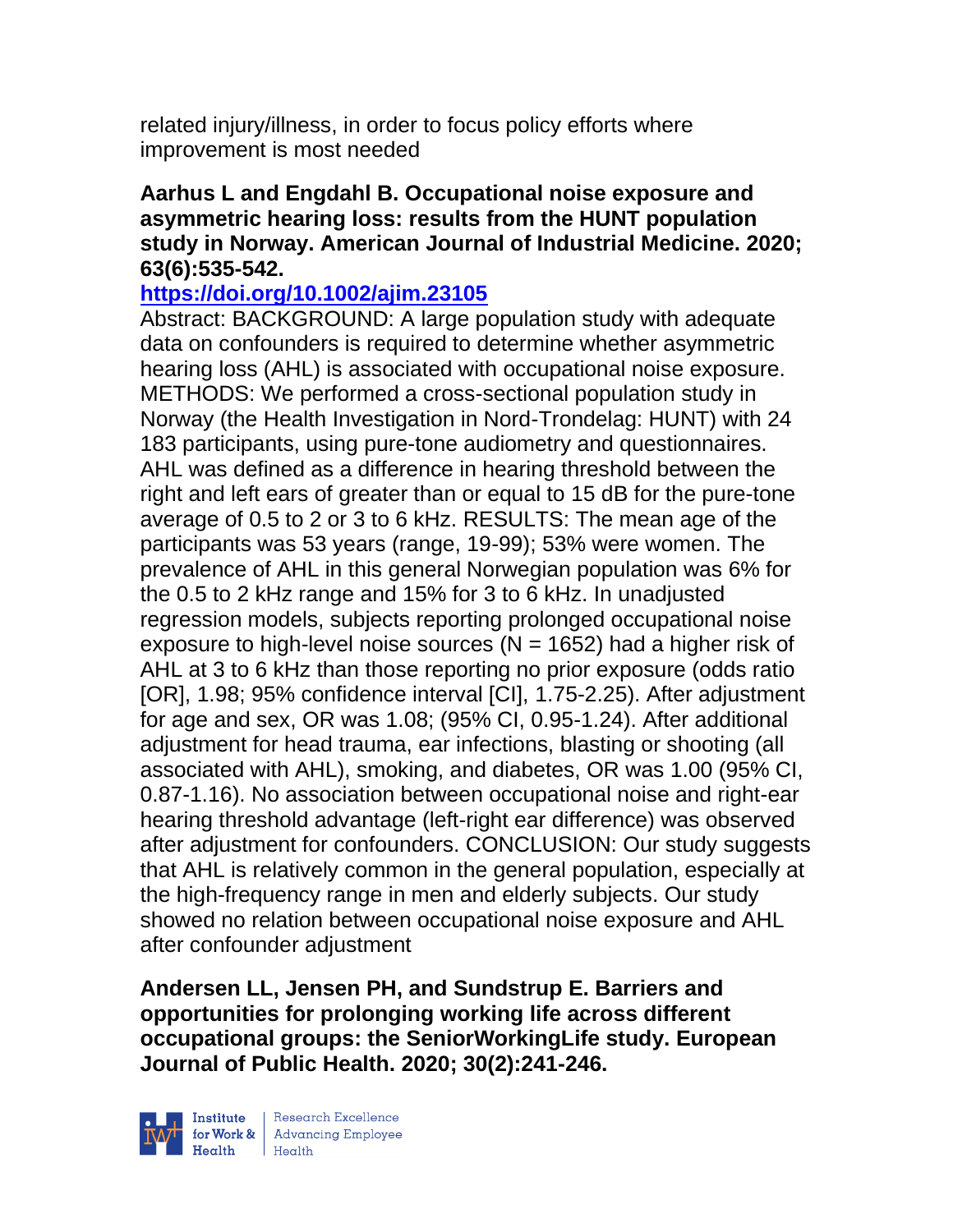related injury/illness, in order to focus policy efforts where improvement is most needed

#### **Aarhus L and Engdahl B. Occupational noise exposure and asymmetric hearing loss: results from the HUNT population study in Norway. American Journal of Industrial Medicine. 2020; 63(6):535-542.**

### **<https://doi.org/10.1002/ajim.23105>**

Abstract: BACKGROUND: A large population study with adequate data on confounders is required to determine whether asymmetric hearing loss (AHL) is associated with occupational noise exposure. METHODS: We performed a cross-sectional population study in Norway (the Health Investigation in Nord-Trondelag: HUNT) with 24 183 participants, using pure-tone audiometry and questionnaires. AHL was defined as a difference in hearing threshold between the right and left ears of greater than or equal to 15 dB for the pure-tone average of 0.5 to 2 or 3 to 6 kHz. RESULTS: The mean age of the participants was 53 years (range, 19-99); 53% were women. The prevalence of AHL in this general Norwegian population was 6% for the 0.5 to 2 kHz range and 15% for 3 to 6 kHz. In unadjusted regression models, subjects reporting prolonged occupational noise exposure to high-level noise sources ( $N = 1652$ ) had a higher risk of AHL at 3 to 6 kHz than those reporting no prior exposure (odds ratio [OR], 1.98; 95% confidence interval [CI], 1.75-2.25). After adjustment for age and sex, OR was 1.08; (95% CI, 0.95-1.24). After additional adjustment for head trauma, ear infections, blasting or shooting (all associated with AHL), smoking, and diabetes, OR was 1.00 (95% CI, 0.87-1.16). No association between occupational noise and right-ear hearing threshold advantage (left-right ear difference) was observed after adjustment for confounders. CONCLUSION: Our study suggests that AHL is relatively common in the general population, especially at the high-frequency range in men and elderly subjects. Our study showed no relation between occupational noise exposure and AHL after confounder adjustment

**Andersen LL, Jensen PH, and Sundstrup E. Barriers and opportunities for prolonging working life across different occupational groups: the SeniorWorkingLife study. European Journal of Public Health. 2020; 30(2):241-246.** 

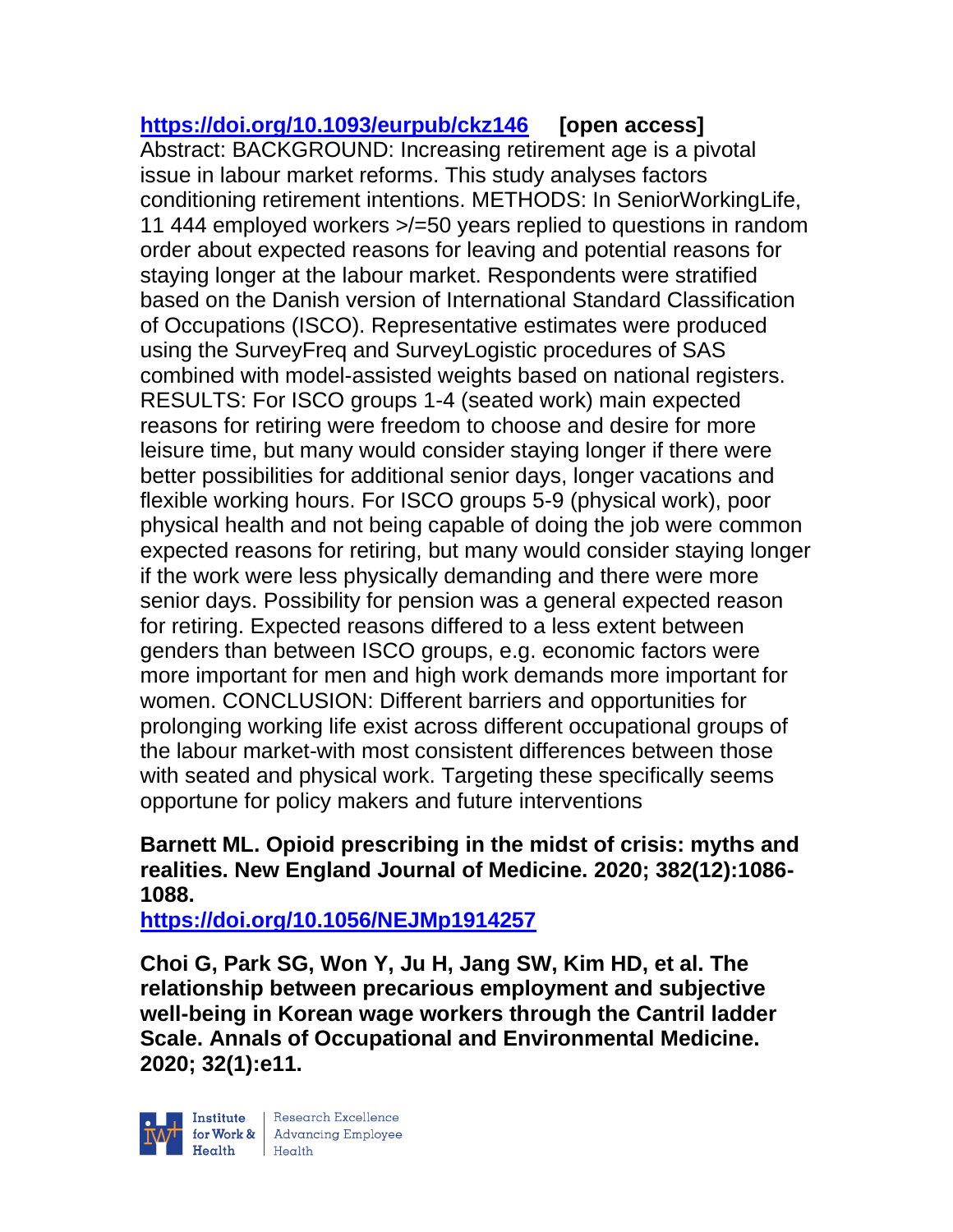# **<https://doi.org/10.1093/eurpub/ckz146> [open access]**

Abstract: BACKGROUND: Increasing retirement age is a pivotal issue in labour market reforms. This study analyses factors conditioning retirement intentions. METHODS: In SeniorWorkingLife, 11 444 employed workers >/=50 years replied to questions in random order about expected reasons for leaving and potential reasons for staying longer at the labour market. Respondents were stratified based on the Danish version of International Standard Classification of Occupations (ISCO). Representative estimates were produced using the SurveyFreq and SurveyLogistic procedures of SAS combined with model-assisted weights based on national registers. RESULTS: For ISCO groups 1-4 (seated work) main expected reasons for retiring were freedom to choose and desire for more leisure time, but many would consider staying longer if there were better possibilities for additional senior days, longer vacations and flexible working hours. For ISCO groups 5-9 (physical work), poor physical health and not being capable of doing the job were common expected reasons for retiring, but many would consider staying longer if the work were less physically demanding and there were more senior days. Possibility for pension was a general expected reason for retiring. Expected reasons differed to a less extent between genders than between ISCO groups, e.g. economic factors were more important for men and high work demands more important for women. CONCLUSION: Different barriers and opportunities for prolonging working life exist across different occupational groups of the labour market-with most consistent differences between those with seated and physical work. Targeting these specifically seems opportune for policy makers and future interventions

# **Barnett ML. Opioid prescribing in the midst of crisis: myths and realities. New England Journal of Medicine. 2020; 382(12):1086- 1088.**

**<https://doi.org/10.1056/NEJMp1914257>** 

**Choi G, Park SG, Won Y, Ju H, Jang SW, Kim HD, et al. The relationship between precarious employment and subjective well-being in Korean wage workers through the Cantril ladder Scale. Annals of Occupational and Environmental Medicine. 2020; 32(1):e11.**

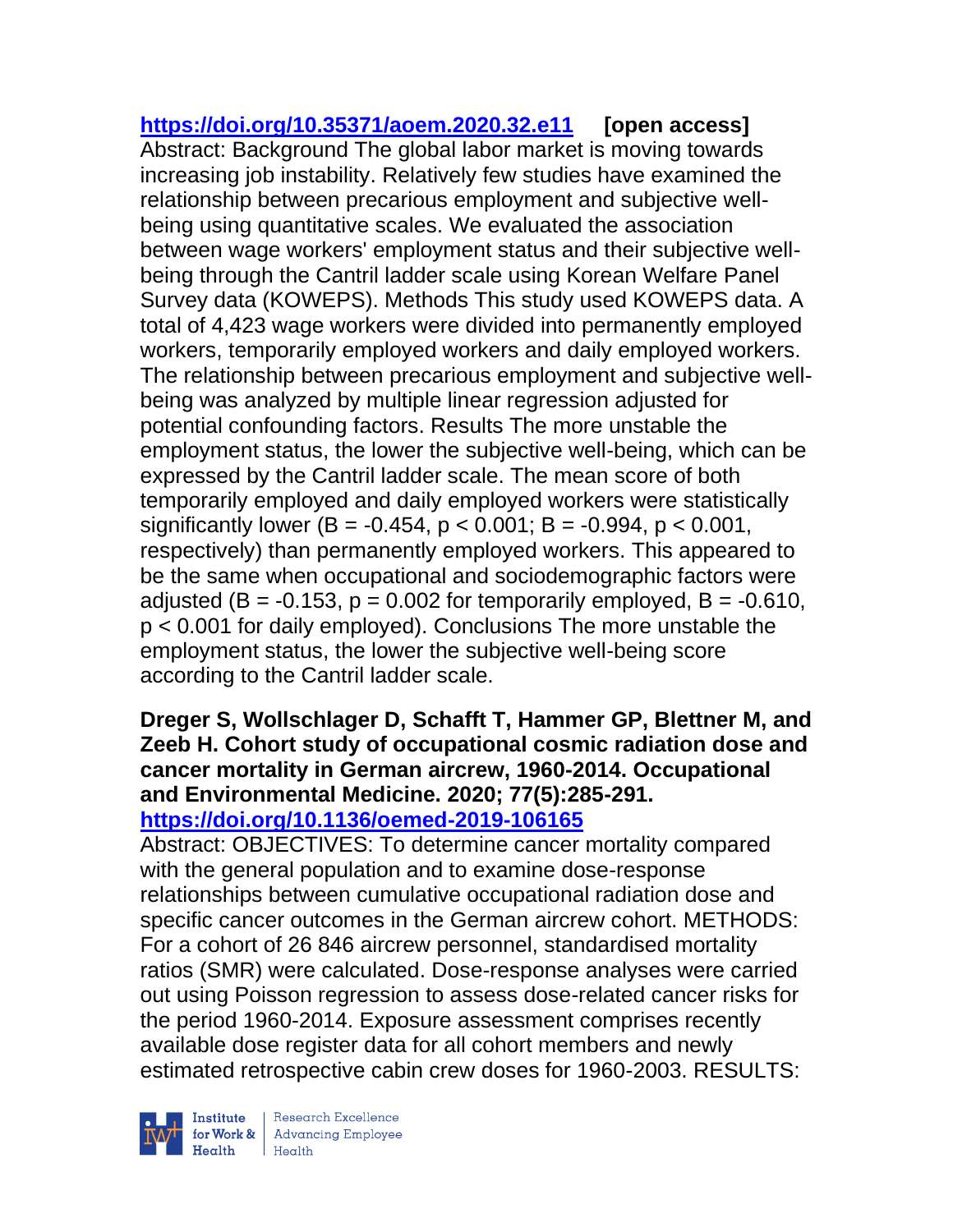**<https://doi.org/10.35371/aoem.2020.32.e11> [open access]** Abstract: Background The global labor market is moving towards increasing job instability. Relatively few studies have examined the relationship between precarious employment and subjective wellbeing using quantitative scales. We evaluated the association between wage workers' employment status and their subjective wellbeing through the Cantril ladder scale using Korean Welfare Panel Survey data (KOWEPS). Methods This study used KOWEPS data. A total of 4,423 wage workers were divided into permanently employed workers, temporarily employed workers and daily employed workers. The relationship between precarious employment and subjective wellbeing was analyzed by multiple linear regression adjusted for potential confounding factors. Results The more unstable the employment status, the lower the subjective well-being, which can be expressed by the Cantril ladder scale. The mean score of both temporarily employed and daily employed workers were statistically significantly lower (B =  $-0.454$ , p < 0.001; B =  $-0.994$ , p < 0.001, respectively) than permanently employed workers. This appeared to be the same when occupational and sociodemographic factors were adjusted ( $B = -0.153$ ,  $p = 0.002$  for temporarily employed,  $B = -0.610$ , p < 0.001 for daily employed). Conclusions The more unstable the employment status, the lower the subjective well-being score according to the Cantril ladder scale.

### **Dreger S, Wollschlager D, Schafft T, Hammer GP, Blettner M, and Zeeb H. Cohort study of occupational cosmic radiation dose and cancer mortality in German aircrew, 1960-2014. Occupational and Environmental Medicine. 2020; 77(5):285-291. <https://doi.org/10.1136/oemed-2019-106165>**

Abstract: OBJECTIVES: To determine cancer mortality compared with the general population and to examine dose-response relationships between cumulative occupational radiation dose and specific cancer outcomes in the German aircrew cohort. METHODS: For a cohort of 26 846 aircrew personnel, standardised mortality ratios (SMR) were calculated. Dose-response analyses were carried out using Poisson regression to assess dose-related cancer risks for the period 1960-2014. Exposure assessment comprises recently available dose register data for all cohort members and newly estimated retrospective cabin crew doses for 1960-2003. RESULTS:



 $\begin{tabular}{|l|} Institute & Research Excellence \\ \hline for Work & Advancing Employee \\ Health & Health \\ \end{tabular}$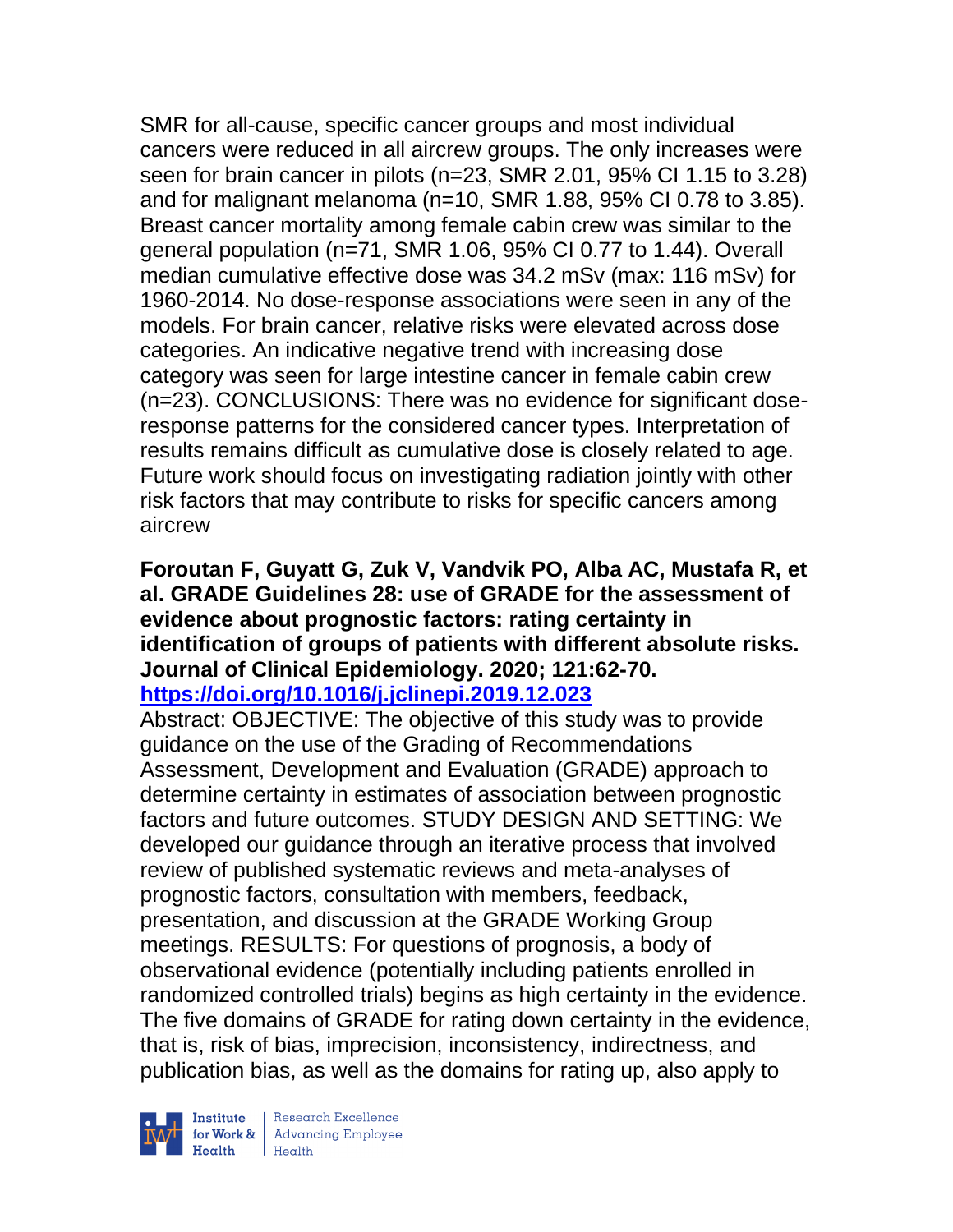SMR for all-cause, specific cancer groups and most individual cancers were reduced in all aircrew groups. The only increases were seen for brain cancer in pilots (n=23, SMR 2.01, 95% CI 1.15 to 3.28) and for malignant melanoma (n=10, SMR 1.88, 95% CI 0.78 to 3.85). Breast cancer mortality among female cabin crew was similar to the general population (n=71, SMR 1.06, 95% CI 0.77 to 1.44). Overall median cumulative effective dose was 34.2 mSv (max: 116 mSv) for 1960-2014. No dose-response associations were seen in any of the models. For brain cancer, relative risks were elevated across dose categories. An indicative negative trend with increasing dose category was seen for large intestine cancer in female cabin crew (n=23). CONCLUSIONS: There was no evidence for significant doseresponse patterns for the considered cancer types. Interpretation of results remains difficult as cumulative dose is closely related to age. Future work should focus on investigating radiation jointly with other risk factors that may contribute to risks for specific cancers among aircrew

# **Foroutan F, Guyatt G, Zuk V, Vandvik PO, Alba AC, Mustafa R, et al. GRADE Guidelines 28: use of GRADE for the assessment of evidence about prognostic factors: rating certainty in identification of groups of patients with different absolute risks. Journal of Clinical Epidemiology. 2020; 121:62-70.**

**<https://doi.org/10.1016/j.jclinepi.2019.12.023>** 

Abstract: OBJECTIVE: The objective of this study was to provide guidance on the use of the Grading of Recommendations Assessment, Development and Evaluation (GRADE) approach to determine certainty in estimates of association between prognostic factors and future outcomes. STUDY DESIGN AND SETTING: We developed our guidance through an iterative process that involved review of published systematic reviews and meta-analyses of prognostic factors, consultation with members, feedback, presentation, and discussion at the GRADE Working Group meetings. RESULTS: For questions of prognosis, a body of observational evidence (potentially including patients enrolled in randomized controlled trials) begins as high certainty in the evidence. The five domains of GRADE for rating down certainty in the evidence, that is, risk of bias, imprecision, inconsistency, indirectness, and publication bias, as well as the domains for rating up, also apply to

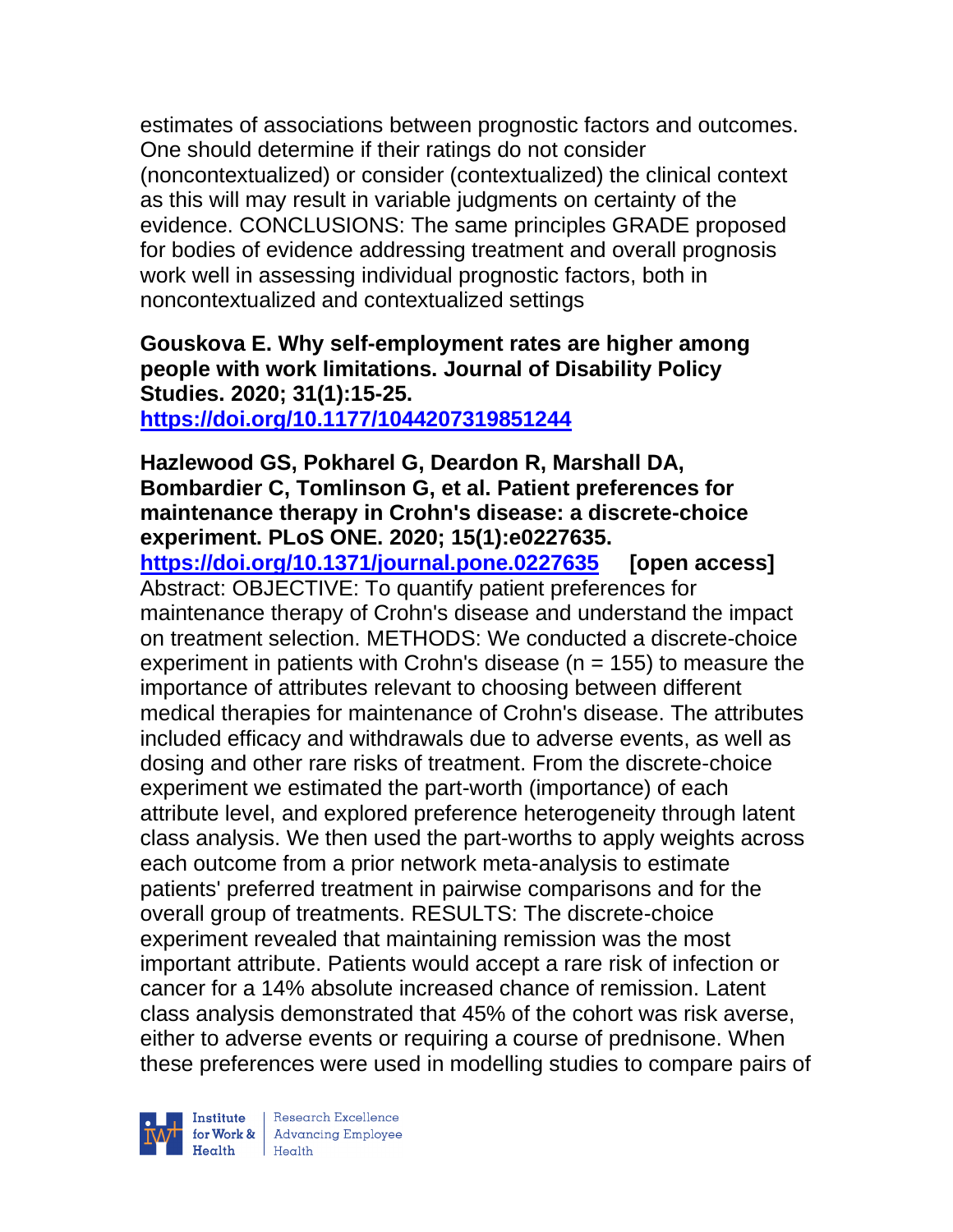estimates of associations between prognostic factors and outcomes. One should determine if their ratings do not consider (noncontextualized) or consider (contextualized) the clinical context as this will may result in variable judgments on certainty of the evidence. CONCLUSIONS: The same principles GRADE proposed for bodies of evidence addressing treatment and overall prognosis work well in assessing individual prognostic factors, both in noncontextualized and contextualized settings

# **Gouskova E. Why self-employment rates are higher among people with work limitations. Journal of Disability Policy Studies. 2020; 31(1):15-25.**

**<https://doi.org/10.1177/1044207319851244>** 

#### **Hazlewood GS, Pokharel G, Deardon R, Marshall DA, Bombardier C, Tomlinson G, et al. Patient preferences for maintenance therapy in Crohn's disease: a discrete-choice experiment. PLoS ONE. 2020; 15(1):e0227635.**

**<https://doi.org/10.1371/journal.pone.0227635> [open access]** Abstract: OBJECTIVE: To quantify patient preferences for maintenance therapy of Crohn's disease and understand the impact on treatment selection. METHODS: We conducted a discrete-choice experiment in patients with Crohn's disease ( $n = 155$ ) to measure the importance of attributes relevant to choosing between different medical therapies for maintenance of Crohn's disease. The attributes included efficacy and withdrawals due to adverse events, as well as dosing and other rare risks of treatment. From the discrete-choice experiment we estimated the part-worth (importance) of each attribute level, and explored preference heterogeneity through latent class analysis. We then used the part-worths to apply weights across each outcome from a prior network meta-analysis to estimate patients' preferred treatment in pairwise comparisons and for the overall group of treatments. RESULTS: The discrete-choice experiment revealed that maintaining remission was the most important attribute. Patients would accept a rare risk of infection or cancer for a 14% absolute increased chance of remission. Latent class analysis demonstrated that 45% of the cohort was risk averse, either to adverse events or requiring a course of prednisone. When these preferences were used in modelling studies to compare pairs of



| Research Excellence for Work & Advancing Employee<br>Health Health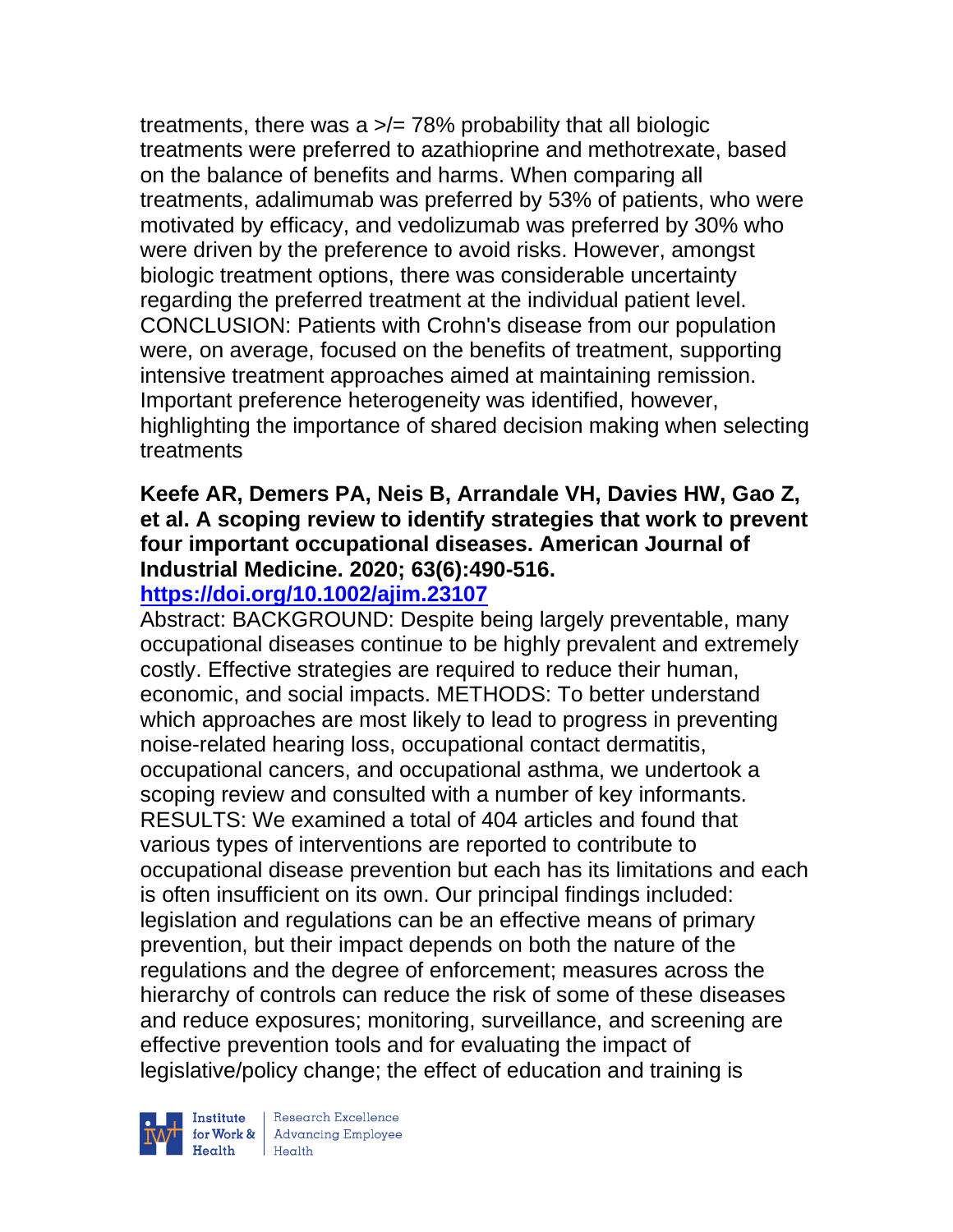treatments, there was a  $\geq/278\%$  probability that all biologic treatments were preferred to azathioprine and methotrexate, based on the balance of benefits and harms. When comparing all treatments, adalimumab was preferred by 53% of patients, who were motivated by efficacy, and vedolizumab was preferred by 30% who were driven by the preference to avoid risks. However, amongst biologic treatment options, there was considerable uncertainty regarding the preferred treatment at the individual patient level. CONCLUSION: Patients with Crohn's disease from our population were, on average, focused on the benefits of treatment, supporting intensive treatment approaches aimed at maintaining remission. Important preference heterogeneity was identified, however, highlighting the importance of shared decision making when selecting treatments

# **Keefe AR, Demers PA, Neis B, Arrandale VH, Davies HW, Gao Z, et al. A scoping review to identify strategies that work to prevent four important occupational diseases. American Journal of Industrial Medicine. 2020; 63(6):490-516.**

# **<https://doi.org/10.1002/ajim.23107>**

Abstract: BACKGROUND: Despite being largely preventable, many occupational diseases continue to be highly prevalent and extremely costly. Effective strategies are required to reduce their human, economic, and social impacts. METHODS: To better understand which approaches are most likely to lead to progress in preventing noise-related hearing loss, occupational contact dermatitis, occupational cancers, and occupational asthma, we undertook a scoping review and consulted with a number of key informants. RESULTS: We examined a total of 404 articles and found that various types of interventions are reported to contribute to occupational disease prevention but each has its limitations and each is often insufficient on its own. Our principal findings included: legislation and regulations can be an effective means of primary prevention, but their impact depends on both the nature of the regulations and the degree of enforcement; measures across the hierarchy of controls can reduce the risk of some of these diseases and reduce exposures; monitoring, surveillance, and screening are effective prevention tools and for evaluating the impact of legislative/policy change; the effect of education and training is



| Research Excellence Financial Research Excellence<br>
Financial Realth<br>
Realth<br>
Realth<br>
Realth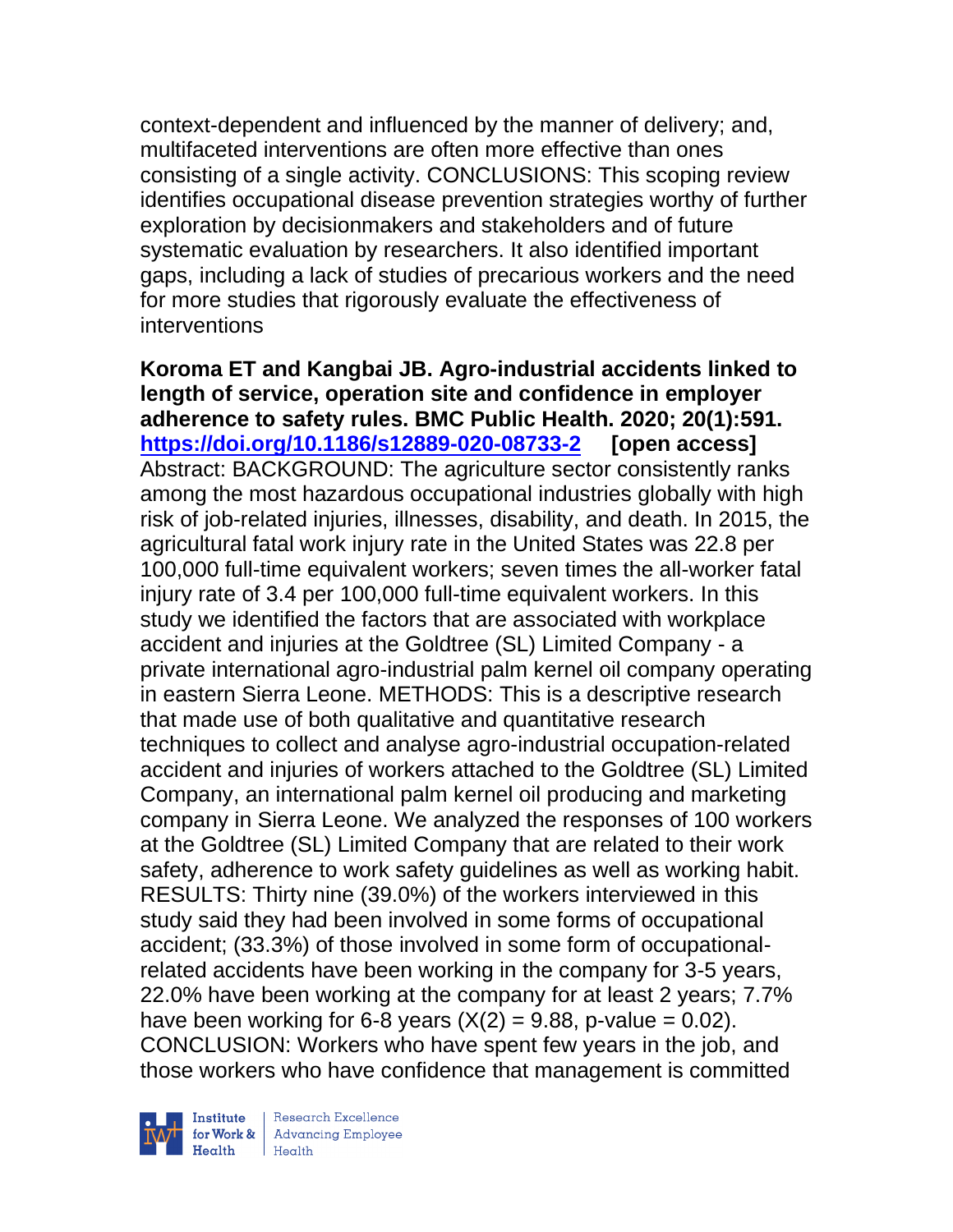context-dependent and influenced by the manner of delivery; and, multifaceted interventions are often more effective than ones consisting of a single activity. CONCLUSIONS: This scoping review identifies occupational disease prevention strategies worthy of further exploration by decisionmakers and stakeholders and of future systematic evaluation by researchers. It also identified important gaps, including a lack of studies of precarious workers and the need for more studies that rigorously evaluate the effectiveness of interventions

**Koroma ET and Kangbai JB. Agro-industrial accidents linked to length of service, operation site and confidence in employer adherence to safety rules. BMC Public Health. 2020; 20(1):591. <https://doi.org/10.1186/s12889-020-08733-2> [open access]** Abstract: BACKGROUND: The agriculture sector consistently ranks among the most hazardous occupational industries globally with high risk of job-related injuries, illnesses, disability, and death. In 2015, the agricultural fatal work injury rate in the United States was 22.8 per 100,000 full-time equivalent workers; seven times the all-worker fatal injury rate of 3.4 per 100,000 full-time equivalent workers. In this study we identified the factors that are associated with workplace accident and injuries at the Goldtree (SL) Limited Company - a private international agro-industrial palm kernel oil company operating in eastern Sierra Leone. METHODS: This is a descriptive research that made use of both qualitative and quantitative research techniques to collect and analyse agro-industrial occupation-related accident and injuries of workers attached to the Goldtree (SL) Limited Company, an international palm kernel oil producing and marketing company in Sierra Leone. We analyzed the responses of 100 workers at the Goldtree (SL) Limited Company that are related to their work safety, adherence to work safety guidelines as well as working habit. RESULTS: Thirty nine (39.0%) of the workers interviewed in this study said they had been involved in some forms of occupational accident; (33.3%) of those involved in some form of occupationalrelated accidents have been working in the company for 3-5 years, 22.0% have been working at the company for at least 2 years; 7.7% have been working for 6-8 years  $(X(2) = 9.88, p-value = 0.02)$ . CONCLUSION: Workers who have spent few years in the job, and those workers who have confidence that management is committed

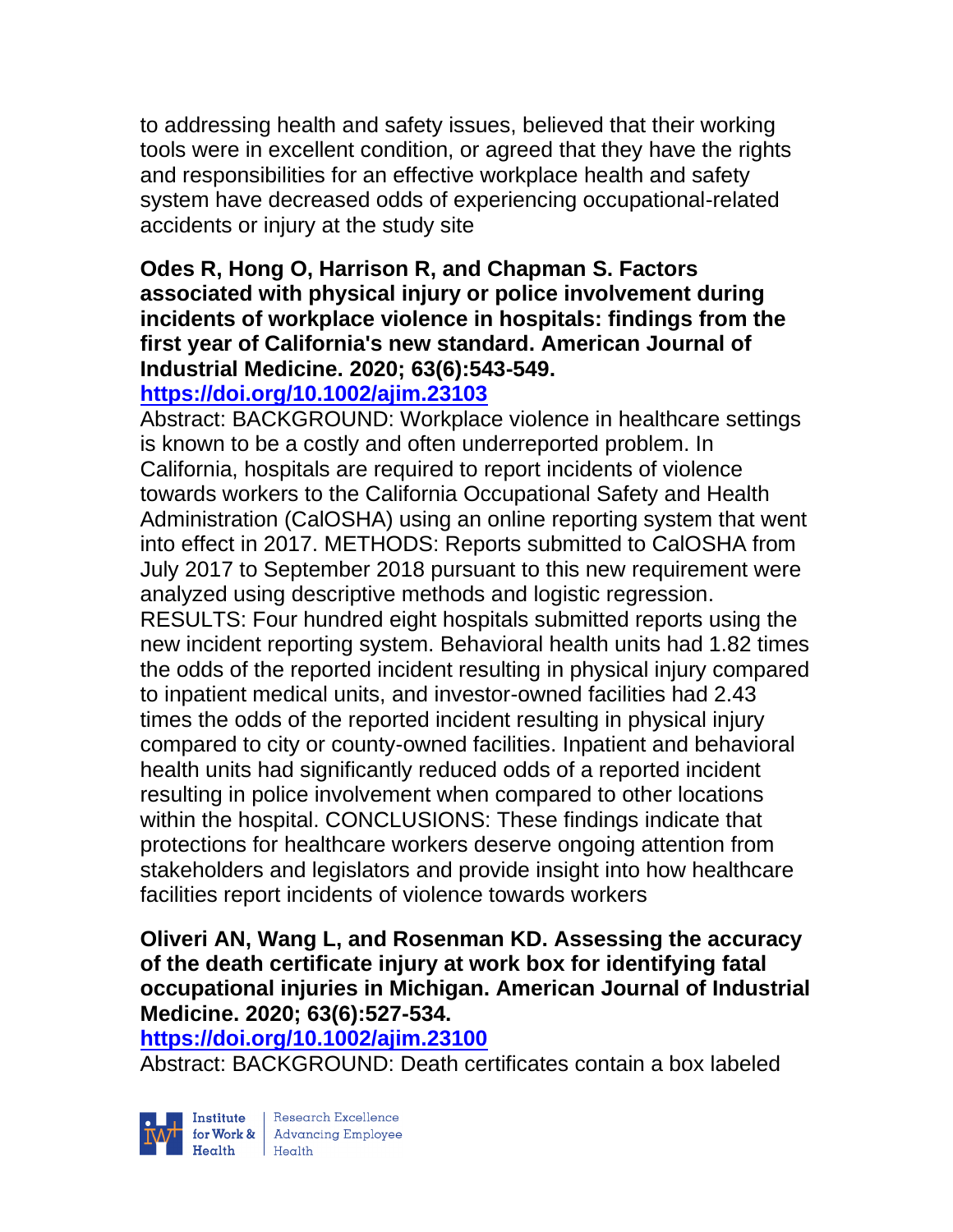to addressing health and safety issues, believed that their working tools were in excellent condition, or agreed that they have the rights and responsibilities for an effective workplace health and safety system have decreased odds of experiencing occupational-related accidents or injury at the study site

# **Odes R, Hong O, Harrison R, and Chapman S. Factors associated with physical injury or police involvement during incidents of workplace violence in hospitals: findings from the first year of California's new standard. American Journal of Industrial Medicine. 2020; 63(6):543-549.**

# **<https://doi.org/10.1002/ajim.23103>**

Abstract: BACKGROUND: Workplace violence in healthcare settings is known to be a costly and often underreported problem. In California, hospitals are required to report incidents of violence towards workers to the California Occupational Safety and Health Administration (CalOSHA) using an online reporting system that went into effect in 2017. METHODS: Reports submitted to CalOSHA from July 2017 to September 2018 pursuant to this new requirement were analyzed using descriptive methods and logistic regression. RESULTS: Four hundred eight hospitals submitted reports using the new incident reporting system. Behavioral health units had 1.82 times the odds of the reported incident resulting in physical injury compared to inpatient medical units, and investor-owned facilities had 2.43 times the odds of the reported incident resulting in physical injury compared to city or county-owned facilities. Inpatient and behavioral health units had significantly reduced odds of a reported incident resulting in police involvement when compared to other locations within the hospital. CONCLUSIONS: These findings indicate that protections for healthcare workers deserve ongoing attention from stakeholders and legislators and provide insight into how healthcare facilities report incidents of violence towards workers

#### **Oliveri AN, Wang L, and Rosenman KD. Assessing the accuracy of the death certificate injury at work box for identifying fatal occupational injuries in Michigan. American Journal of Industrial Medicine. 2020; 63(6):527-534.**

#### **<https://doi.org/10.1002/ajim.23100>**

Abstract: BACKGROUND: Death certificates contain a box labeled

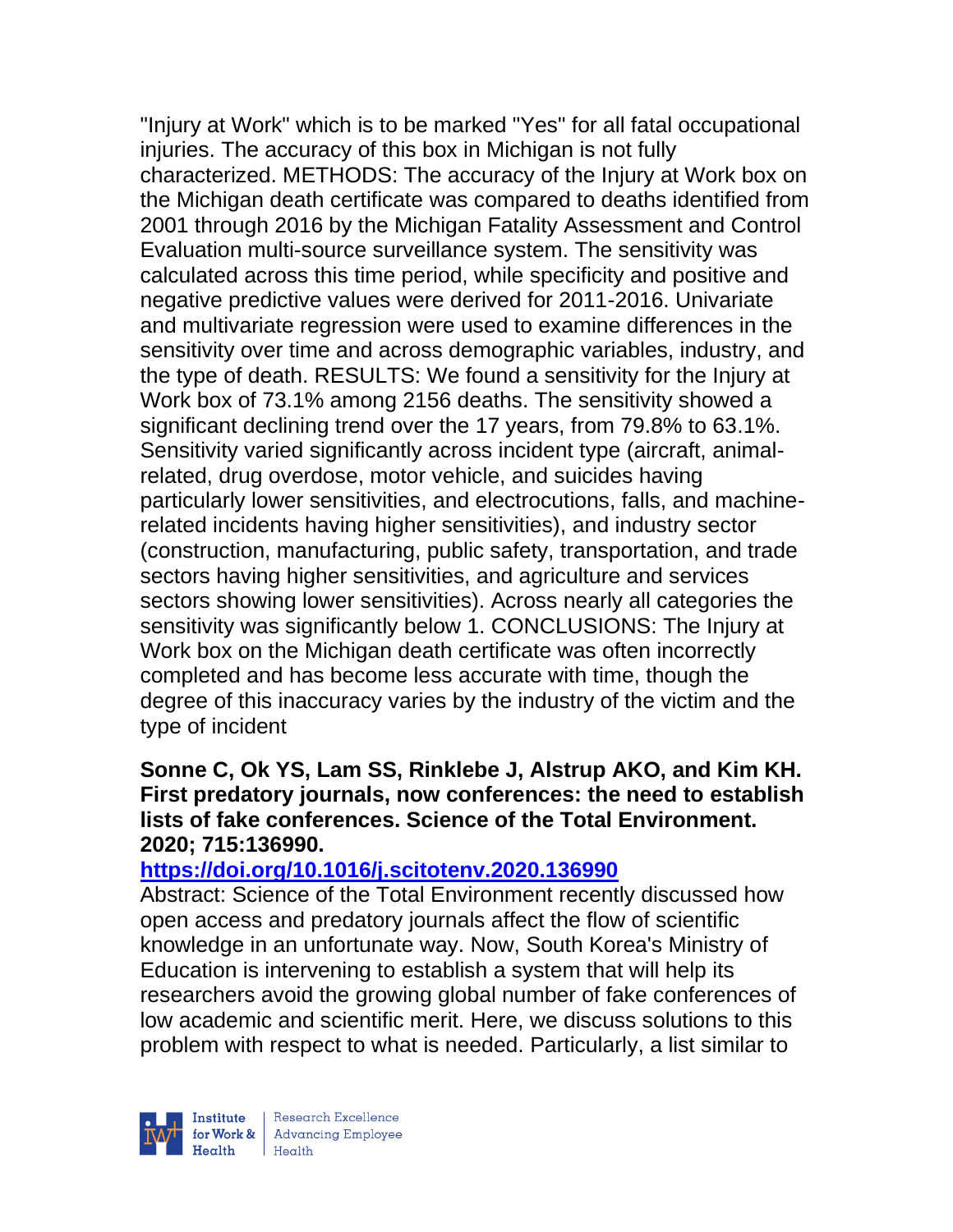"Injury at Work" which is to be marked "Yes" for all fatal occupational injuries. The accuracy of this box in Michigan is not fully characterized. METHODS: The accuracy of the Injury at Work box on the Michigan death certificate was compared to deaths identified from 2001 through 2016 by the Michigan Fatality Assessment and Control Evaluation multi-source surveillance system. The sensitivity was calculated across this time period, while specificity and positive and negative predictive values were derived for 2011-2016. Univariate and multivariate regression were used to examine differences in the sensitivity over time and across demographic variables, industry, and the type of death. RESULTS: We found a sensitivity for the Injury at Work box of 73.1% among 2156 deaths. The sensitivity showed a significant declining trend over the 17 years, from 79.8% to 63.1%. Sensitivity varied significantly across incident type (aircraft, animalrelated, drug overdose, motor vehicle, and suicides having particularly lower sensitivities, and electrocutions, falls, and machinerelated incidents having higher sensitivities), and industry sector (construction, manufacturing, public safety, transportation, and trade sectors having higher sensitivities, and agriculture and services sectors showing lower sensitivities). Across nearly all categories the sensitivity was significantly below 1. CONCLUSIONS: The Injury at Work box on the Michigan death certificate was often incorrectly completed and has become less accurate with time, though the degree of this inaccuracy varies by the industry of the victim and the type of incident

#### **Sonne C, Ok YS, Lam SS, Rinklebe J, Alstrup AKO, and Kim KH. First predatory journals, now conferences: the need to establish lists of fake conferences. Science of the Total Environment. 2020; 715:136990.**

#### **<https://doi.org/10.1016/j.scitotenv.2020.136990>**

Abstract: Science of the Total Environment recently discussed how open access and predatory journals affect the flow of scientific knowledge in an unfortunate way. Now, South Korea's Ministry of Education is intervening to establish a system that will help its researchers avoid the growing global number of fake conferences of low academic and scientific merit. Here, we discuss solutions to this problem with respect to what is needed. Particularly, a list similar to



| Research Excellence for Work & Advancing Employee<br>Health Health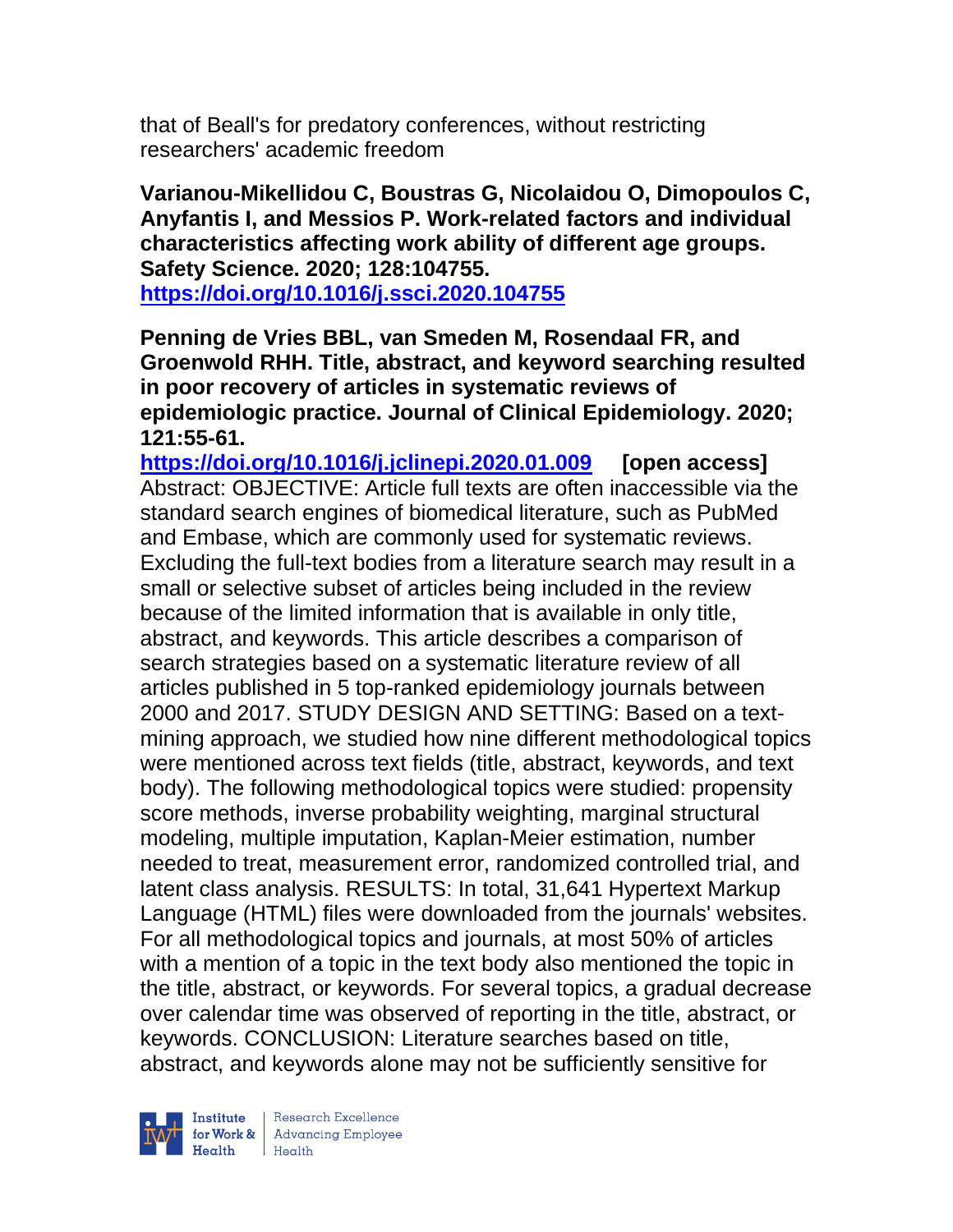that of Beall's for predatory conferences, without restricting researchers' academic freedom

**Varianou-Mikellidou C, Boustras G, Nicolaidou O, Dimopoulos C, Anyfantis I, and Messios P. Work-related factors and individual characteristics affecting work ability of different age groups. Safety Science. 2020; 128:104755. <https://doi.org/10.1016/j.ssci.2020.104755>** 

**Penning de Vries BBL, van Smeden M, Rosendaal FR, and Groenwold RHH. Title, abstract, and keyword searching resulted in poor recovery of articles in systematic reviews of epidemiologic practice. Journal of Clinical Epidemiology. 2020; 121:55-61.** 

**<https://doi.org/10.1016/j.jclinepi.2020.01.009> [open access]** Abstract: OBJECTIVE: Article full texts are often inaccessible via the standard search engines of biomedical literature, such as PubMed and Embase, which are commonly used for systematic reviews. Excluding the full-text bodies from a literature search may result in a small or selective subset of articles being included in the review because of the limited information that is available in only title, abstract, and keywords. This article describes a comparison of search strategies based on a systematic literature review of all articles published in 5 top-ranked epidemiology journals between 2000 and 2017. STUDY DESIGN AND SETTING: Based on a textmining approach, we studied how nine different methodological topics were mentioned across text fields (title, abstract, keywords, and text body). The following methodological topics were studied: propensity score methods, inverse probability weighting, marginal structural modeling, multiple imputation, Kaplan-Meier estimation, number needed to treat, measurement error, randomized controlled trial, and latent class analysis. RESULTS: In total, 31,641 Hypertext Markup Language (HTML) files were downloaded from the journals' websites. For all methodological topics and journals, at most 50% of articles with a mention of a topic in the text body also mentioned the topic in the title, abstract, or keywords. For several topics, a gradual decrease over calendar time was observed of reporting in the title, abstract, or keywords. CONCLUSION: Literature searches based on title, abstract, and keywords alone may not be sufficiently sensitive for